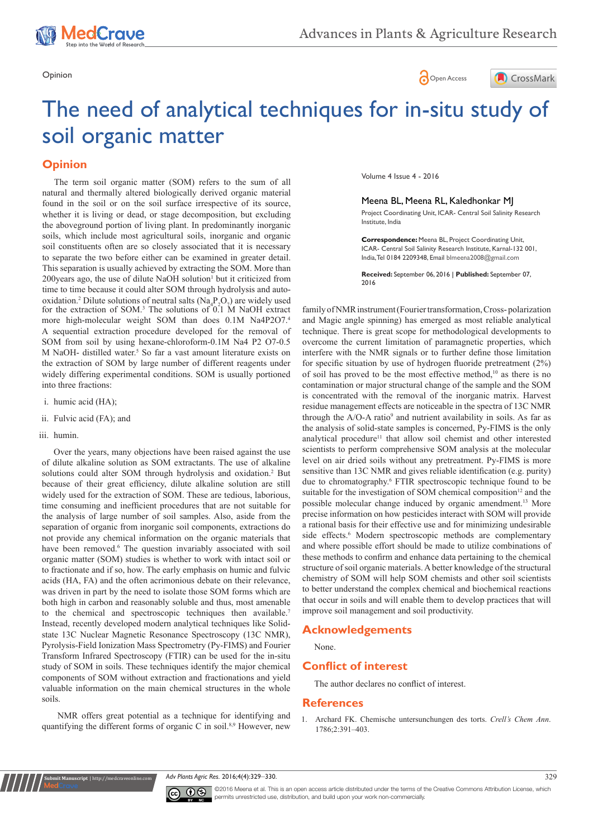





# The need of analytical techniques for in-situ study of soil organic matter

## **Opinion**

for the extraction of SOM.<sup>3</sup> The solutions of 0.1 M NaOH extract more high-molecular weight SOM than does 0.1M Na4P2O7.4 A sequential extraction procedure developed for the removal of SOM from soil by using hexane-chloroform-0.1M Na4 P2 O7-0.5 M NaOH- distilled water.<sup>5</sup> So far a vast amount literature exists on the extraction of SOM by large number of different reagents under widely differing experimental conditions. SOM is usually portioned into three fractions: The term soil organic matter (SOM) refers to the sum of all natural and thermally altered biologically derived organic material found in the soil or on the soil surface irrespective of its source, whether it is living or dead, or stage decomposition, but excluding the aboveground portion of living plant. In predominantly inorganic soils, which include most agricultural soils, inorganic and organic soil constituents often are so closely associated that it is necessary to separate the two before either can be examined in greater detail. This separation is usually achieved by extracting the SOM. More than 200 years ago, the use of dilute NaOH solution<sup>1</sup> but it criticized from time to time because it could alter SOM through hydrolysis and autooxidation.<sup>2</sup> Dilute solutions of neutral salts  $(Na_4P_2O_7)$  are widely used

- i. humic acid (HA);
- ii. Fulvic acid (FA); and
- iii. humin.

Over the years, many objections have been raised against the use of dilute alkaline solution as SOM extractants. The use of alkaline solutions could alter SOM through hydrolysis and oxidation.<sup>2</sup> But because of their great efficiency, dilute alkaline solution are still widely used for the extraction of SOM. These are tedious, laborious, time consuming and inefficient procedures that are not suitable for the analysis of large number of soil samples. Also, aside from the separation of organic from inorganic soil components, extractions do not provide any chemical information on the organic materials that have been removed.<sup>6</sup> The question invariably associated with soil organic matter (SOM) studies is whether to work with intact soil or to fractionate and if so, how. The early emphasis on humic and fulvic acids (HA, FA) and the often acrimonious debate on their relevance, was driven in part by the need to isolate those SOM forms which are both high in carbon and reasonably soluble and thus, most amenable to the chemical and spectroscopic techniques then available.<sup>7</sup> Instead, recently developed modern analytical techniques like Solidstate 13C Nuclear Magnetic Resonance Spectroscopy (13C NMR), Pyrolysis-Field Ionization Mass Spectrometry (Py-FIMS) and Fourier Transform Infrared Spectroscopy (FTIR) can be used for the in-situ study of SOM in soils. These techniques identify the major chemical components of SOM without extraction and fractionations and yield valuable information on the main chemical structures in the whole soils.

NMR offers great potential as a technique for identifying and quantifying the different forms of organic C in soil.<sup>8,9</sup> However, new

**nit Manuscript** | http://medcraveonlin

Volume 4 Issue 4 - 2016

Meena BL, Meena RL, Kaledhonkar MJ Project Coordinating Unit, ICAR- Central Soil Salinity Research

Institute, India

**Correspondence:** Meena BL, Project Coordinating Unit, ICAR- Central Soil Salinity Research Institute, Karnal-132 001, India, Tel 0184 2209348, Email blmeena2008@gmail.com

**Received:** September 06, 2016 | **Published:** September 07, 2016

family of NMR instrument (Fourier transformation, Cross- polarization and Magic angle spinning) has emerged as most reliable analytical technique. There is great scope for methodological developments to overcome the current limitation of paramagnetic properties, which interfere with the NMR signals or to further define those limitation for specific situation by use of hydrogen fluoride pretreatment (2%) of soil has proved to be the most effective method,<sup>10</sup> as there is no contamination or major structural change of the sample and the SOM is concentrated with the removal of the inorganic matrix. Harvest residue management effects are noticeable in the spectra of 13C NMR through the  $A/O-A$  ratio<sup>9</sup> and nutrient availability in soils. As far as the analysis of solid-state samples is concerned, Py-FIMS is the only analytical procedure<sup>11</sup> that allow soil chemist and other interested scientists to perform comprehensive SOM analysis at the molecular level on air dried soils without any pretreatment. Py-FIMS is more sensitive than 13C NMR and gives reliable identification (e.g. purity) due to chromatography.<sup>6</sup> FTIR spectroscopic technique found to be suitable for the investigation of SOM chemical composition<sup>12</sup> and the possible molecular change induced by organic amendment.<sup>13</sup> More precise information on how pesticides interact with SOM will provide a rational basis for their effective use and for minimizing undesirable side effects.<sup>6</sup> Modern spectroscopic methods are complementary and where possible effort should be made to utilize combinations of these methods to confirm and enhance data pertaining to the chemical structure of soil organic materials. A better knowledge of the structural chemistry of SOM will help SOM chemists and other soil scientists to better understand the complex chemical and biochemical reactions that occur in soils and will enable them to develop practices that will improve soil management and soil productivity.

#### **Acknowledgements**

None.

### **Conflict of interest**

The author declares no conflict of interest.

#### **References**

1. Archard FK. Chemische untersunchungen des torts. *Crell's Chem Ann*. 1786;2:391–403.

*Adv Plants Agric Res.* 2016;4(4):329‒330. 329



©2016 Meena et al. This is an open access article distributed under the terms of the [Creative Commons Attribution License,](https://creativecommons.org/licenses/by-nc/4.0/) which permits unrestricted use, distribution, and build upon your work non-commercially.